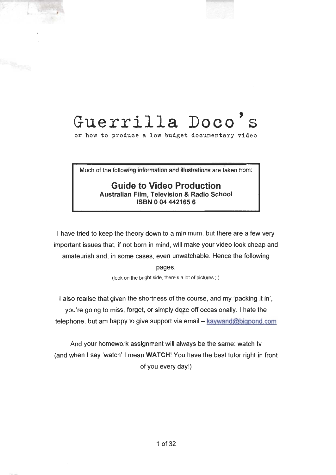# <span id="page-0-0"></span>Guerrilla Doco's

or how to produce a low budget documentary video

Much of the following information and illustrations are taken from:

#### Guide to Video Production

Australian Film, Television & Radio School ISBN 0 04 442165 6

I have tried to keep the theory down to a minimum, but there are a few very important issues that, if not born in mind, will make your video look cheap and amateurish and, in some cases, even unwatchable. Hence the following pages.

(look on the bright side, there's a lot of pictures ;-)

I also realise that given the shortness of the course, and my 'packing it in', you're going to miss, forget, or simply doze off occasionally. I hate the telephone, but am happy to give support via email  $-$  kaywand@bigpond.com

And your homework assignment will always be the same: watch tv (and when I say 'watch' I mean WATCH! You have the best tutor right in front of you every day!)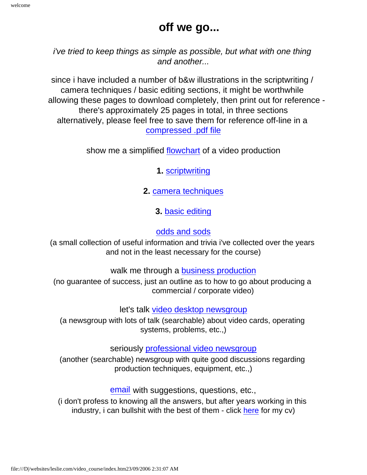#### **off we go...**

*i've tried to keep things as simple as possible, but what with one thing and another...*

since i have included a number of b&w illustrations in the scriptwriting / camera techniques / basic editing sections, it might be worthwhile allowing these pages to download completely, then print out for reference there's approximately 25 pages in total, in three sections alternatively, please feel free to save them for reference off-line in a [compressed .pdf file](#page-0-0)

show me a simplified [flowchart](#page-2-0) of a video production

**1.** [scriptwriting](#page-3-0)

**2.** [camera techniques](#page-17-0)

**3.** [basic editing](#page-36-0)

#### [odds and sods](file:///D|/websites/leslie.com/pages/tech_docs/other%20stuff.htm)

(a small collection of useful information and trivia i've collected over the years and not in the least necessary for the course)

walk me through a **business** production

(no guarantee of success, just an outline as to how to go about producing a commercial / corporate video)

let's talk [video desktop newsgroup](news:rec.video.desktop)

(a newsgroup with lots of talk (searchable) about video cards, operating systems, problems, etc.,)

seriously [professional video newsgroup](news:rec.video.production)

(another (searchable) newsgroup with quite good discussions regarding production techniques, equipment, etc.,)

[email](mailto:kay.wand@bigpond.net.au) with suggestions, questions, etc.,

(i don't profess to knowing all the answers, but after years working in this industry, i can bullshit with the best of them - click [here](file:///D|/websites/leslie.com/pages/cv.htm) for my cv)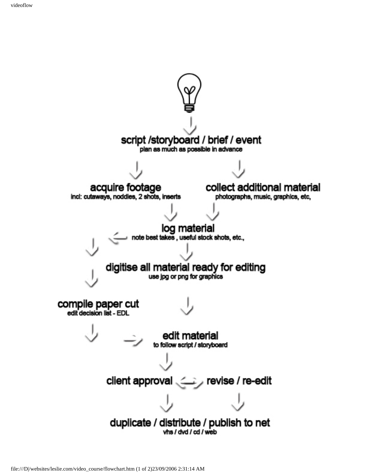<span id="page-2-0"></span>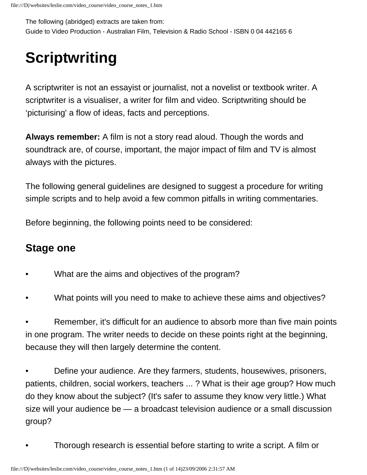<span id="page-3-0"></span>The following (abridged) extracts are taken from: Guide to Video Production - Australian Film, Television & Radio School - ISBN 0 04 442165 6

## **Scriptwriting**

A scriptwriter is not an essayist or journalist, not a novelist or textbook writer. A scriptwriter is a visualiser, a writer for film and video. Scriptwriting should be 'picturising' a flow of ideas, facts and perceptions.

**Always remember:** A film is not a story read aloud. Though the words and soundtrack are, of course, important, the major impact of film and TV is almost always with the pictures.

The following general guidelines are designed to suggest a procedure for writing simple scripts and to help avoid a few common pitfalls in writing commentaries.

Before beginning, the following points need to be considered:

### **Stage one**

- What are the aims and objectives of the program?
- What points will you need to make to achieve these aims and objectives?

Remember, it's difficult for an audience to absorb more than five main points in one program. The writer needs to decide on these points right at the beginning, because they will then largely determine the content.

• Define your audience. Are they farmers, students, housewives, prisoners, patients, children, social workers, teachers ... ? What is their age group? How much do they know about the subject? (It's safer to assume they know very little.) What size will your audience be — a broadcast television audience or a small discussion group?

• Thorough research is essential before starting to write a script. A film or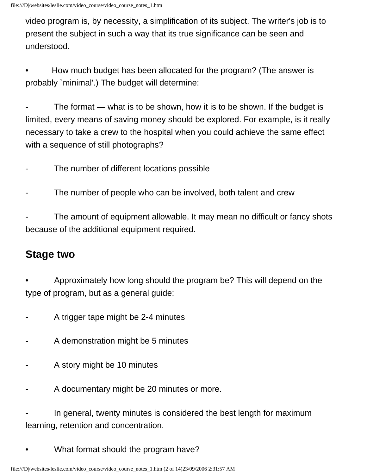video program is, by necessity, a simplification of its subject. The writer's job is to present the subject in such a way that its true significance can be seen and understood.

• How much budget has been allocated for the program? (The answer is probably `minimal'.) The budget will determine:

The format  $-$  what is to be shown, how it is to be shown. If the budget is limited, every means of saving money should be explored. For example, is it really necessary to take a crew to the hospital when you could achieve the same effect with a sequence of still photographs?

- The number of different locations possible
- The number of people who can be involved, both talent and crew

The amount of equipment allowable. It may mean no difficult or fancy shots because of the additional equipment required.

## **Stage two**

• Approximately how long should the program be? This will depend on the type of program, but as a general guide:

- A trigger tape might be 2-4 minutes
- A demonstration might be 5 minutes
- A story might be 10 minutes
- A documentary might be 20 minutes or more.

In general, twenty minutes is considered the best length for maximum learning, retention and concentration.

• What format should the program have?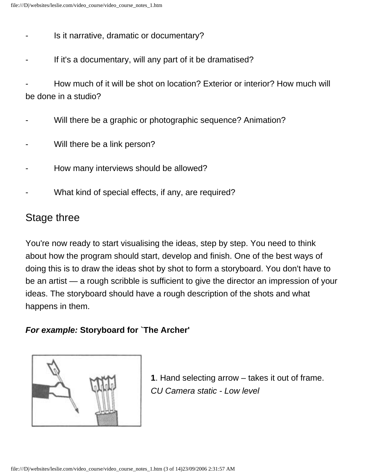- Is it narrative, dramatic or documentary?
- If it's a documentary, will any part of it be dramatised?

- How much of it will be shot on location? Exterior or interior? How much will be done in a studio?

- Will there be a graphic or photographic sequence? Animation?
- Will there be a link person?
- How many interviews should be allowed?
- What kind of special effects, if any, are required?

## Stage three

You're now ready to start visualising the ideas, step by step. You need to think about how the program should start, develop and finish. One of the best ways of doing this is to draw the ideas shot by shot to form a storyboard. You don't have to be an artist — a rough scribble is sufficient to give the director an impression of your ideas. The storyboard should have a rough description of the shots and what happens in them.

#### *For example:* **Storyboard for `The Archer'**



**1**. Hand selecting arrow – takes it out of frame. *CU Camera static - Low level*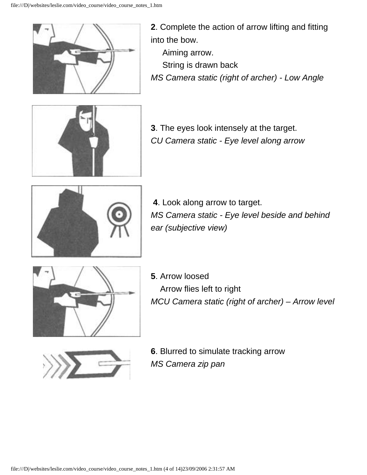

**2**. Complete the action of arrow lifting and fitting into the bow. Aiming arrow. String is drawn back

*MS Camera static (right of archer) - Low Angle*



**3**. The eyes look intensely at the target. *CU Camera static - Eye level along arrow*



**4**. Look along arrow to target. *MS Camera static - Eye level beside and behind ear (subjective view)*



**5**. Arrow loosed Arrow flies left to right *MCU Camera static (right of archer) – Arrow level*



**6**. Blurred to simulate tracking arrow *MS Camera zip pan*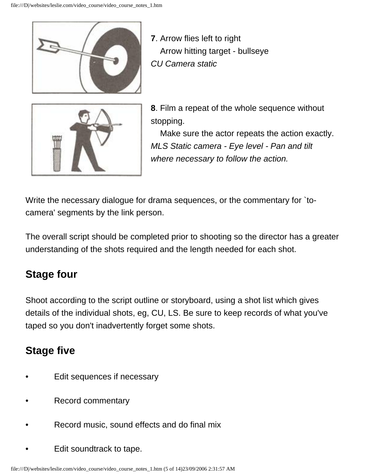

**7**. Arrow flies left to right Arrow hitting target - bullseye *CU Camera static*



**8**. Film a repeat of the whole sequence without stopping.

 Make sure the actor repeats the action exactly. *MLS Static camera - Eye level - Pan and tilt where necessary to follow the action.*

Write the necessary dialogue for drama sequences, or the commentary for `tocamera' segments by the link person.

The overall script should be completed prior to shooting so the director has a greater understanding of the shots required and the length needed for each shot.

## **Stage four**

Shoot according to the script outline or storyboard, using a shot list which gives details of the individual shots, eg, CU, LS. Be sure to keep records of what you've taped so you don't inadvertently forget some shots.

## **Stage five**

- Edit sequences if necessary
- Record commentary
- Record music, sound effects and do final mix
- Edit soundtrack to tape.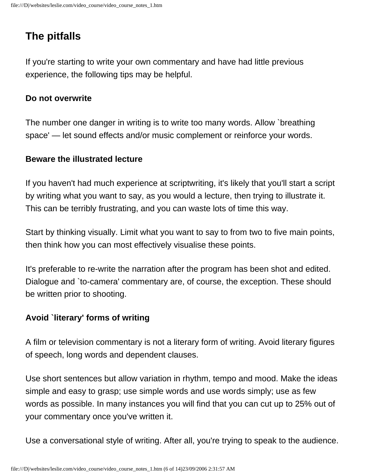## **The pitfalls**

If you're starting to write your own commentary and have had little previous experience, the following tips may be helpful.

#### **Do not overwrite**

The number one danger in writing is to write too many words. Allow `breathing space' — let sound effects and/or music complement or reinforce your words.

#### **Beware the illustrated lecture**

If you haven't had much experience at scriptwriting, it's likely that you'll start a script by writing what you want to say, as you would a lecture, then trying to illustrate it. This can be terribly frustrating, and you can waste lots of time this way.

Start by thinking visually. Limit what you want to say to from two to five main points, then think how you can most effectively visualise these points.

It's preferable to re-write the narration after the program has been shot and edited. Dialogue and `to-camera' commentary are, of course, the exception. These should be written prior to shooting.

#### **Avoid `literary' forms of writing**

A film or television commentary is not a literary form of writing. Avoid literary figures of speech, long words and dependent clauses.

Use short sentences but allow variation in rhythm, tempo and mood. Make the ideas simple and easy to grasp; use simple words and use words simply; use as few words as possible. In many instances you will find that you can cut up to 25% out of your commentary once you've written it.

Use a conversational style of writing. After all, you're trying to speak to the audience.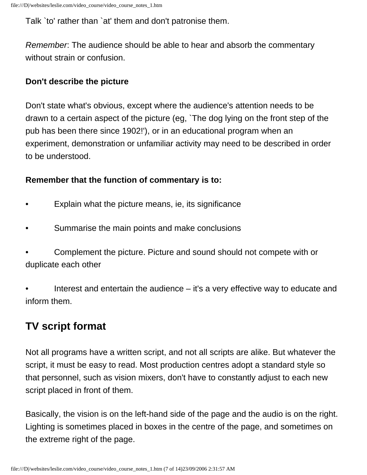Talk `to' rather than `at' them and don't patronise them.

*Remember*: The audience should be able to hear and absorb the commentary without strain or confusion.

#### **Don't describe the picture**

Don't state what's obvious, except where the audience's attention needs to be drawn to a certain aspect of the picture (eg, `The dog lying on the front step of the pub has been there since 1902!'), or in an educational program when an experiment, demonstration or unfamiliar activity may need to be described in order to be understood.

#### **Remember that the function of commentary is to:**

- Explain what the picture means, ie, its significance
- Summarise the main points and make conclusions
- Complement the picture. Picture and sound should not compete with or duplicate each other

• Interest and entertain the audience – it's a very effective way to educate and inform them.

## **TV script format**

Not all programs have a written script, and not all scripts are alike. But whatever the script, it must be easy to read. Most production centres adopt a standard style so that personnel, such as vision mixers, don't have to constantly adjust to each new script placed in front of them.

Basically, the vision is on the left-hand side of the page and the audio is on the right. Lighting is sometimes placed in boxes in the centre of the page, and sometimes on the extreme right of the page.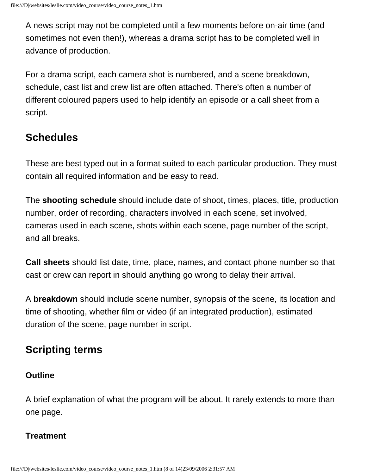A news script may not be completed until a few moments before on-air time (and sometimes not even then!), whereas a drama script has to be completed well in advance of production.

For a drama script, each camera shot is numbered, and a scene breakdown, schedule, cast list and crew list are often attached. There's often a number of different coloured papers used to help identify an episode or a call sheet from a script.

### **Schedules**

These are best typed out in a format suited to each particular production. They must contain all required information and be easy to read.

The **shooting schedule** should include date of shoot, times, places, title, production number, order of recording, characters involved in each scene, set involved, cameras used in each scene, shots within each scene, page number of the script, and all breaks.

**Call sheets** should list date, time, place, names, and contact phone number so that cast or crew can report in should anything go wrong to delay their arrival.

A **breakdown** should include scene number, synopsis of the scene, its location and time of shooting, whether film or video (if an integrated production), estimated duration of the scene, page number in script.

## **Scripting terms**

#### **Outline**

A brief explanation of what the program will be about. It rarely extends to more than one page.

#### **Treatment**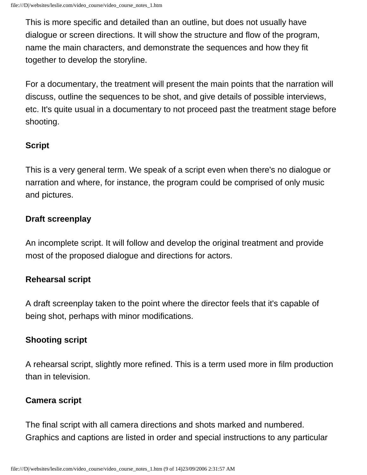This is more specific and detailed than an outline, but does not usually have dialogue or screen directions. It will show the structure and flow of the program, name the main characters, and demonstrate the sequences and how they fit together to develop the storyline.

For a documentary, the treatment will present the main points that the narration will discuss, outline the sequences to be shot, and give details of possible interviews, etc. It's quite usual in a documentary to not proceed past the treatment stage before shooting.

#### **Script**

This is a very general term. We speak of a script even when there's no dialogue or narration and where, for instance, the program could be comprised of only music and pictures.

#### **Draft screenplay**

An incomplete script. It will follow and develop the original treatment and provide most of the proposed dialogue and directions for actors.

#### **Rehearsal script**

A draft screenplay taken to the point where the director feels that it's capable of being shot, perhaps with minor modifications.

#### **Shooting script**

A rehearsal script, slightly more refined. This is a term used more in film production than in television.

#### **Camera script**

The final script with all camera directions and shots marked and numbered. Graphics and captions are listed in order and special instructions to any particular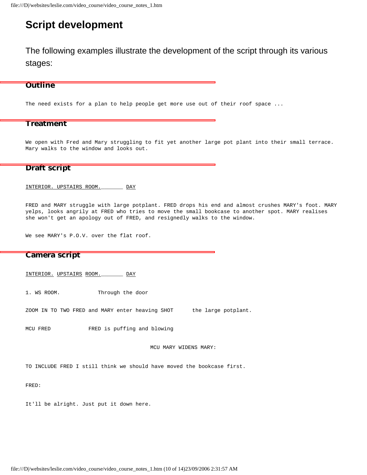#### **Script development**

The following examples illustrate the development of the script through its various stages:

#### **Outline**

The need exists for a plan to help people get more use out of their roof space ...

#### **Treatment**

We open with Fred and Mary struggling to fit yet another large pot plant into their small terrace. Mary walks to the window and looks out.

#### **Draft script**

INTERIOR. UPSTAIRS ROOM.\_\_\_\_\_\_\_ DAY

FRED and MARY struggle with large potplant. FRED drops his end and almost crushes MARY's foot. MARY yelps, looks angrily at FRED who tries to move the small bookcase to another spot. MARY realises she won't get an apology out of FRED, and resignedly walks to the window.

We see MARY's P.O.V. over the flat roof.

#### **Camera script**

INTERIOR. UPSTAIRS ROOM.\_\_\_\_\_\_\_ DAY

1. WS ROOM. Through the door

ZOOM IN TO TWO FRED and MARY enter heaving SHOT the large potplant.

MCU FRED FRED is puffing and blowing

MCU MARY WIDENS MARY:

TO INCLUDE FRED I still think we should have moved the bookcase first.

FRED:

It'll be alright. Just put it down here.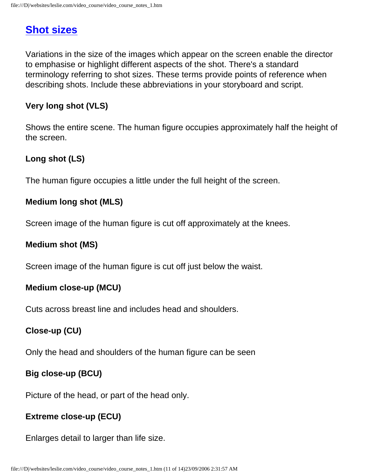### **[Shot sizes](#page-18-0)**

Variations in the size of the images which appear on the screen enable the director to emphasise or highlight different aspects of the shot. There's a standard terminology referring to shot sizes. These terms provide points of reference when describing shots. Include these abbreviations in your storyboard and script.

#### **Very long shot (VLS)**

Shows the entire scene. The human figure occupies approximately half the height of the screen.

#### **Long shot (LS)**

The human figure occupies a little under the full height of the screen.

#### **Medium long shot (MLS)**

Screen image of the human figure is cut off approximately at the knees.

#### **Medium shot (MS)**

Screen image of the human figure is cut off just below the waist.

#### **Medium close-up (MCU)**

Cuts across breast line and includes head and shoulders.

#### **Close-up (CU)**

Only the head and shoulders of the human figure can be seen

#### **Big close-up (BCU)**

Picture of the head, or part of the head only.

#### **Extreme close-up (ECU)**

Enlarges detail to larger than life size.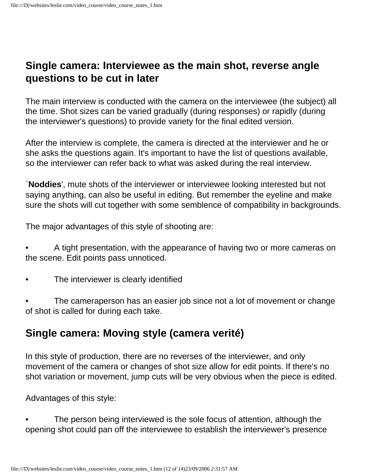#### **Single camera: Interviewee as the main shot, reverse angle questions to be cut in later**

The main interview is conducted with the camera on the interviewee (the subject) all the time. Shot sizes can be varied gradually (during responses) or rapidly (during the interviewer's questions) to provide variety for the final edited version.

After the interview is complete, the camera is directed at the interviewer and he or she asks the questions again. It's important to have the list of questions available, so the interviewer can refer back to what was asked during the real interview.

`**Noddies**', mute shots of the interviewer or interviewee looking interested but not saying anything, can also be useful in editing. But remember the eyeline and make sure the shots will cut together with some semblence of compatibility in backgrounds.

The major advantages of this style of shooting are:

- A tight presentation, with the appearance of having two or more cameras on the scene. Edit points pass unnoticed.
- The interviewer is clearly identified
- The cameraperson has an easier job since not a lot of movement or change of shot is called for during each take.

### **Single camera: Moving style (camera verité)**

In this style of production, there are no reverses of the interviewer, and only movement of the camera or changes of shot size allow for edit points. If there's no shot variation or movement, jump cuts will be very obvious when the piece is edited.

Advantages of this style:

The person being interviewed is the sole focus of attention, although the opening shot could pan off the interviewee to establish the interviewer's presence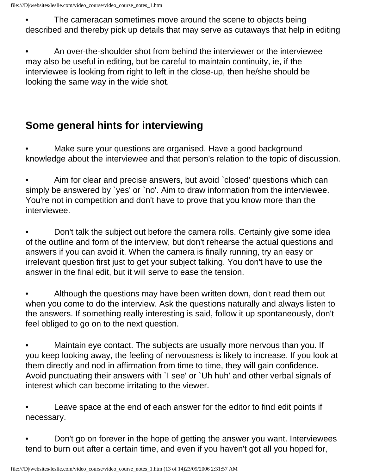The cameracan sometimes move around the scene to objects being described and thereby pick up details that may serve as cutaways that help in editing

• An over-the-shoulder shot from behind the interviewer or the interviewee may also be useful in editing, but be careful to maintain continuity, ie, if the interviewee is looking from right to left in the close-up, then he/she should be looking the same way in the wide shot.

## **Some general hints for interviewing**

Make sure your questions are organised. Have a good background knowledge about the interviewee and that person's relation to the topic of discussion.

• Aim for clear and precise answers, but avoid `closed' questions which can simply be answered by 'yes' or 'no'. Aim to draw information from the interviewee. You're not in competition and don't have to prove that you know more than the interviewee.

• Don't talk the subject out before the camera rolls. Certainly give some idea of the outline and form of the interview, but don't rehearse the actual questions and answers if you can avoid it. When the camera is finally running, try an easy or irrelevant question first just to get your subject talking. You don't have to use the answer in the final edit, but it will serve to ease the tension.

• Although the questions may have been written down, don't read them out when you come to do the interview. Ask the questions naturally and always listen to the answers. If something really interesting is said, follow it up spontaneously, don't feel obliged to go on to the next question.

• Maintain eye contact. The subjects are usually more nervous than you. If you keep looking away, the feeling of nervousness is likely to increase. If you look at them directly and nod in affirmation from time to time, they will gain confidence. Avoid punctuating their answers with `I see' or `Uh huh' and other verbal signals of interest which can become irritating to the viewer.

Leave space at the end of each answer for the editor to find edit points if necessary.

• Don't go on forever in the hope of getting the answer you want. Interviewees tend to burn out after a certain time, and even if you haven't got all you hoped for,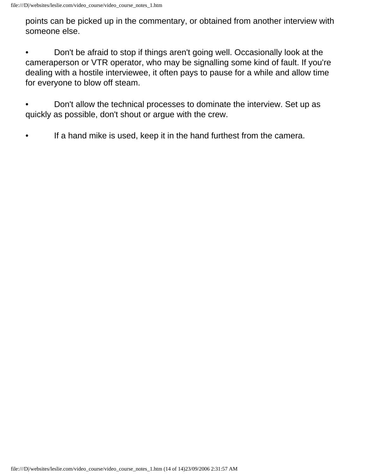points can be picked up in the commentary, or obtained from another interview with someone else.

- Don't be afraid to stop if things aren't going well. Occasionally look at the cameraperson or VTR operator, who may be signalling some kind of fault. If you're dealing with a hostile interviewee, it often pays to pause for a while and allow time for everyone to blow off steam.
- Don't allow the technical processes to dominate the interview. Set up as quickly as possible, don't shout or argue with the crew.
- If a hand mike is used, keep it in the hand furthest from the camera.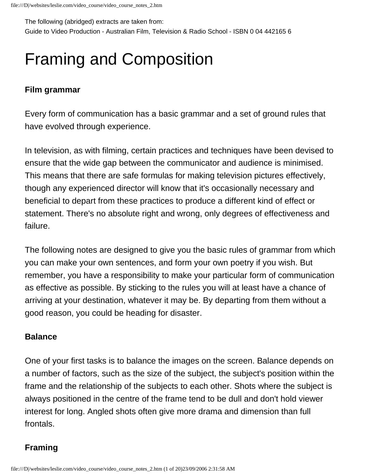<span id="page-17-0"></span>The following (abridged) extracts are taken from:

Guide to Video Production - Australian Film, Television & Radio School - ISBN 0 04 442165 6

## Framing and Composition

#### **Film grammar**

Every form of communication has a basic grammar and a set of ground rules that have evolved through experience.

In television, as with filming, certain practices and techniques have been devised to ensure that the wide gap between the communicator and audience is minimised. This means that there are safe formulas for making television pictures effectively, though any experienced director will know that it's occasionally necessary and beneficial to depart from these practices to produce a different kind of effect or statement. There's no absolute right and wrong, only degrees of effectiveness and failure.

The following notes are designed to give you the basic rules of grammar from which you can make your own sentences, and form your own poetry if you wish. But remember, you have a responsibility to make your particular form of communication as effective as possible. By sticking to the rules you will at least have a chance of arriving at your destination, whatever it may be. By departing from them without a good reason, you could be heading for disaster.

#### **Balance**

One of your first tasks is to balance the images on the screen. Balance depends on a number of factors, such as the size of the subject, the subject's position within the frame and the relationship of the subjects to each other. Shots where the subject is always positioned in the centre of the frame tend to be dull and don't hold viewer interest for long. Angled shots often give more drama and dimension than full frontals.

#### **Framing**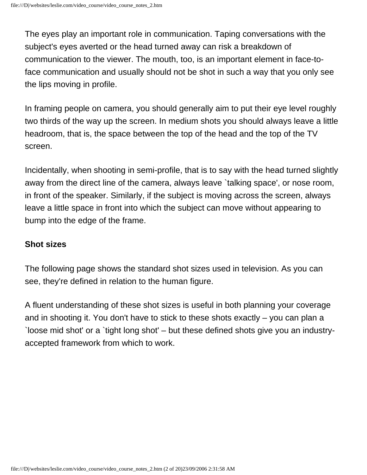The eyes play an important role in communication. Taping conversations with the subject's eyes averted or the head turned away can risk a breakdown of communication to the viewer. The mouth, too, is an important element in face-toface communication and usually should not be shot in such a way that you only see the lips moving in profile.

In framing people on camera, you should generally aim to put their eye level roughly two thirds of the way up the screen. In medium shots you should always leave a little headroom, that is, the space between the top of the head and the top of the TV screen.

Incidentally, when shooting in semi-profile, that is to say with the head turned slightly away from the direct line of the camera, always leave `talking space', or nose room, in front of the speaker. Similarly, if the subject is moving across the screen, always leave a little space in front into which the subject can move without appearing to bump into the edge of the frame.

#### <span id="page-18-0"></span>**Shot sizes**

The following page shows the standard shot sizes used in television. As you can see, they're defined in relation to the human figure.

A fluent understanding of these shot sizes is useful in both planning your coverage and in shooting it. You don't have to stick to these shots exactly – you can plan a `loose mid shot' or a `tight long shot' – but these defined shots give you an industryaccepted framework from which to work.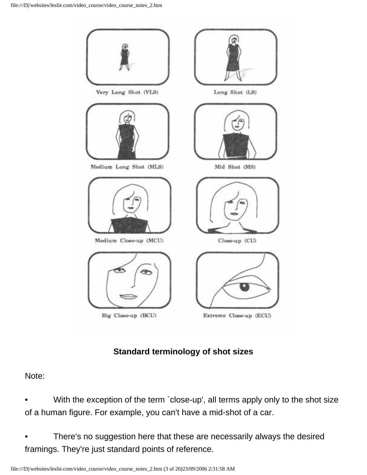

#### **Standard terminology of shot sizes**

#### Note:

- With the exception of the term `close-up', all terms apply only to the shot size of a human figure. For example, you can't have a mid-shot of a car.
- There's no suggestion here that these are necessarily always the desired framings. They're just standard points of reference.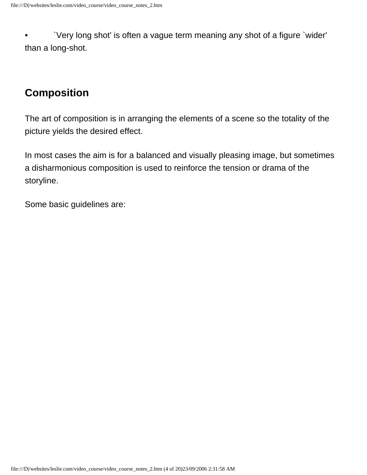• `Very long shot' is often a vague term meaning any shot of a figure `wider' than a long-shot.

### **Composition**

The art of composition is in arranging the elements of a scene so the totality of the picture yields the desired effect.

In most cases the aim is for a balanced and visually pleasing image, but sometimes a disharmonious composition is used to reinforce the tension or drama of the storyline.

Some basic guidelines are: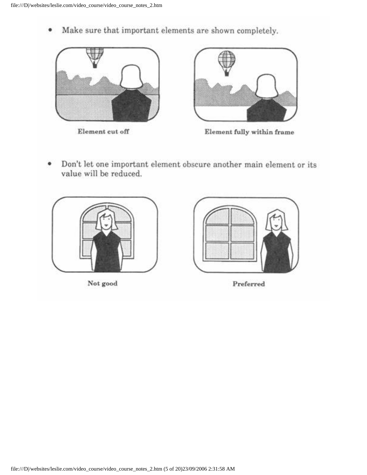Make sure that important elements are shown completely. ۰



Element cut off



Element fully within frame

Don't let one important element obscure another main element or its ٠ value will be reduced.

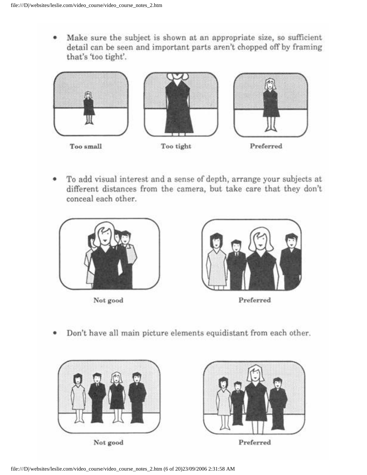Make sure the subject is shown at an appropriate size, so sufficient ٠ detail can be seen and important parts aren't chopped off by framing that's 'too tight'.



To add visual interest and a sense of depth, arrange your subjects at different distances from the camera, but take care that they don't conceal each other.



Not good



Preferred

Don't have all main picture elements equidistant from each other. ۰



Not good



Preferred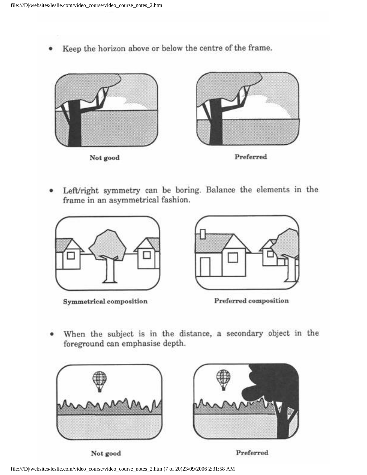Keep the horizon above or below the centre of the frame.



Left/right symmetry can be boring. Balance the elements in the frame in an asymmetrical fashion.



Symmetrical composition



Preferred composition

When the subject is in the distance, a secondary object in the foreground can emphasise depth.



Not good

Preferred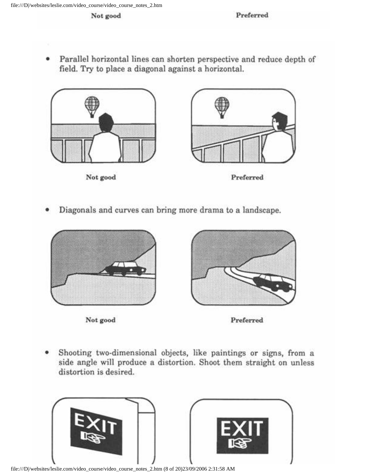Parallel horizontal lines can shorten perspective and reduce depth of field. Try to place a diagonal against a horizontal.



Diagonals and curves can bring more drama to a landscape.







Shooting two-dimensional objects, like paintings or signs, from a ۰ side angle will produce a distortion. Shoot them straight on unless distortion is desired.



file:///D|/websites/leslie.com/video\_course/video\_course\_notes\_2.htm (8 of 20)23/09/2006 2:31:58 AM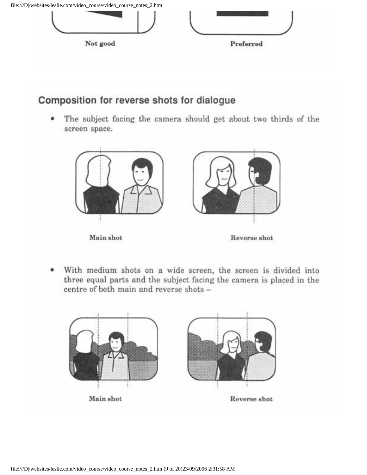

#### Composition for reverse shots for dialogue

The subject facing the camera should get about two thirds of the screen space.



With medium shots on a wide screen, the screen is divided into three equal parts and the subject facing the camera is placed in the centre of both main and reverse shots -

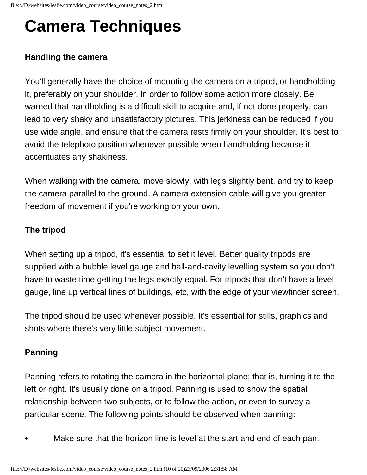## **Camera Techniques**

#### **Handling the camera**

You'll generally have the choice of mounting the camera on a tripod, or handholding it, preferably on your shoulder, in order to follow some action more closely. Be warned that handholding is a difficult skill to acquire and, if not done properly, can lead to very shaky and unsatisfactory pictures. This jerkiness can be reduced if you use wide angle, and ensure that the camera rests firmly on your shoulder. It's best to avoid the telephoto position whenever possible when handholding because it accentuates any shakiness.

When walking with the camera, move slowly, with legs slightly bent, and try to keep the camera parallel to the ground. A camera extension cable will give you greater freedom of movement if you're working on your own.

#### **The tripod**

When setting up a tripod, it's essential to set it level. Better quality tripods are supplied with a bubble level gauge and ball-and-cavity levelling system so you don't have to waste time getting the legs exactly equal. For tripods that don't have a level gauge, line up vertical lines of buildings, etc, with the edge of your viewfinder screen.

The tripod should be used whenever possible. It's essential for stills, graphics and shots where there's very little subject movement.

#### **Panning**

Panning refers to rotating the camera in the horizontal plane; that is, turning it to the left or right. It's usually done on a tripod. Panning is used to show the spatial relationship between two subjects, or to follow the action, or even to survey a particular scene. The following points should be observed when panning:

Make sure that the horizon line is level at the start and end of each pan.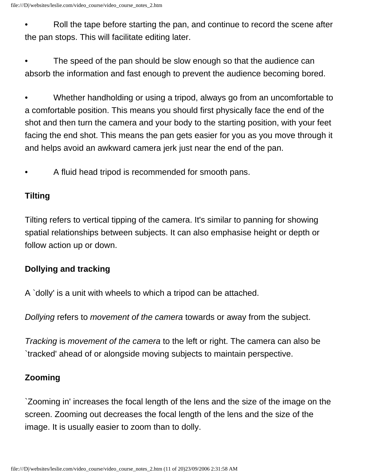• Roll the tape before starting the pan, and continue to record the scene after the pan stops. This will facilitate editing later.

The speed of the pan should be slow enough so that the audience can absorb the information and fast enough to prevent the audience becoming bored.

• Whether handholding or using a tripod, always go from an uncomfortable to a comfortable position. This means you should first physically face the end of the shot and then turn the camera and your body to the starting position, with your feet facing the end shot. This means the pan gets easier for you as you move through it and helps avoid an awkward camera jerk just near the end of the pan.

• A fluid head tripod is recommended for smooth pans.

#### **Tilting**

Tilting refers to vertical tipping of the camera. It's similar to panning for showing spatial relationships between subjects. It can also emphasise height or depth or follow action up or down.

#### **Dollying and tracking**

A `dolly' is a unit with wheels to which a tripod can be attached.

*Dollying* refers to *movement of the camera* towards or away from the subject.

*Tracking* is *movement of the camera* to the left or right. The camera can also be `tracked' ahead of or alongside moving subjects to maintain perspective.

#### **Zooming**

`Zooming in' increases the focal length of the lens and the size of the image on the screen. Zooming out decreases the focal length of the lens and the size of the image. It is usually easier to zoom than to dolly.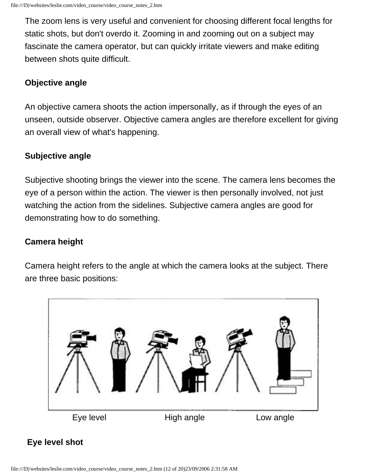The zoom lens is very useful and convenient for choosing different focal lengths for static shots, but don't overdo it. Zooming in and zooming out on a subject may fascinate the camera operator, but can quickly irritate viewers and make editing between shots quite difficult.

#### **Objective angle**

An objective camera shoots the action impersonally, as if through the eyes of an unseen, outside observer. Objective camera angles are therefore excellent for giving an overall view of what's happening.

#### **Subjective angle**

Subjective shooting brings the viewer into the scene. The camera lens becomes the eye of a person within the action. The viewer is then personally involved, not just watching the action from the sidelines. Subjective camera angles are good for demonstrating how to do something.

#### **Camera height**

Camera height refers to the angle at which the camera looks at the subject. There are three basic positions:



#### **Eye level shot**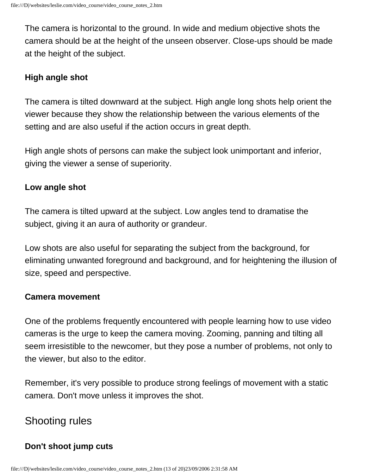The camera is horizontal to the ground. In wide and medium objective shots the camera should be at the height of the unseen observer. Close-ups should be made at the height of the subject.

#### **High angle shot**

The camera is tilted downward at the subject. High angle long shots help orient the viewer because they show the relationship between the various elements of the setting and are also useful if the action occurs in great depth.

High angle shots of persons can make the subject look unimportant and inferior, giving the viewer a sense of superiority.

#### **Low angle shot**

The camera is tilted upward at the subject. Low angles tend to dramatise the subject, giving it an aura of authority or grandeur.

Low shots are also useful for separating the subject from the background, for eliminating unwanted foreground and background, and for heightening the illusion of size, speed and perspective.

#### **Camera movement**

One of the problems frequently encountered with people learning how to use video cameras is the urge to keep the camera moving. Zooming, panning and tilting all seem irresistible to the newcomer, but they pose a number of problems, not only to the viewer, but also to the editor.

Remember, it's very possible to produce strong feelings of movement with a static camera. Don't move unless it improves the shot.

### Shooting rules

#### **Don't shoot jump cuts**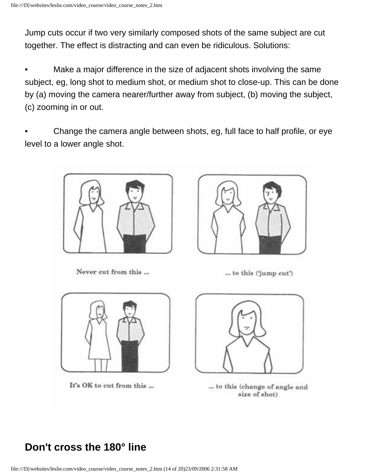Jump cuts occur if two very similarly composed shots of the same subject are cut together. The effect is distracting and can even be ridiculous. Solutions:

Make a major difference in the size of adjacent shots involving the same subject, eg, long shot to medium shot, or medium shot to close-up. This can be done by (a) moving the camera nearer/further away from subject, (b) moving the subject, (c) zooming in or out.

• Change the camera angle between shots, eg, full face to half profile, or eye level to a lower angle shot.



Never cut from this ...



... to this ('jump cut')



It's OK to cut from this ...



... to this (change of angle and size of shot)

## **Don't cross the 180° line**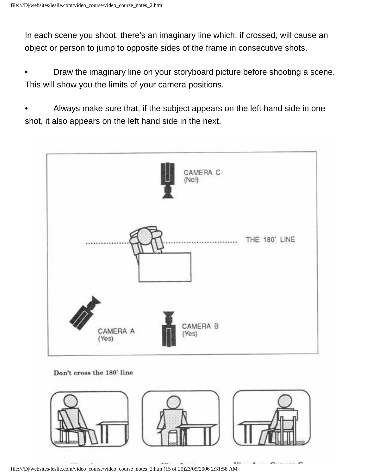In each scene you shoot, there's an imaginary line which, if crossed, will cause an object or person to jump to opposite sides of the frame in consecutive shots.

• Draw the imaginary line on your storyboard picture before shooting a scene. This will show you the limits of your camera positions.

• Always make sure that, if the subject appears on the left hand side in one shot, it also appears on the left hand side in the next.



#### Don't cross the 180' line



file:///D|/websites/leslie.com/video\_course/video\_course\_notes\_2.htm (15 of 20)23/09/2006 2:31:58 AM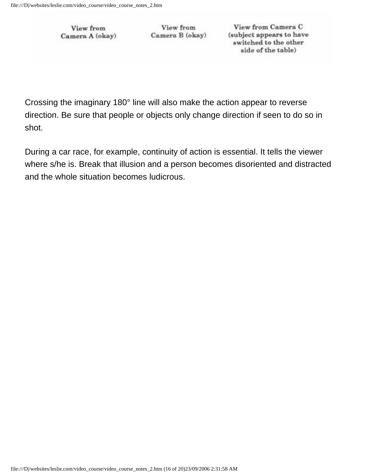View from Camera A (okay)

View from Camera B (okay)

View from Camera C (subject appears to have switched to the other side of the table)

Crossing the imaginary 180° line will also make the action appear to reverse direction. Be sure that people or objects only change direction if seen to do so in shot.

During a car race, for example, continuity of action is essential. It tells the viewer where s/he is. Break that illusion and a person becomes disoriented and distracted and the whole situation becomes ludicrous.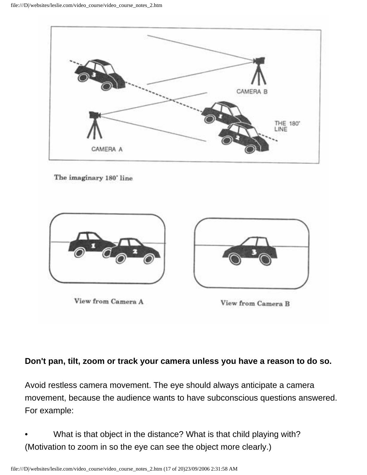

The imaginary 180' line



#### **Don't pan, tilt, zoom or track your camera unless you have a reason to do so.**

Avoid restless camera movement. The eye should always anticipate a camera movement, because the audience wants to have subconscious questions answered. For example:

• What is that object in the distance? What is that child playing with? (Motivation to zoom in so the eye can see the object more clearly.)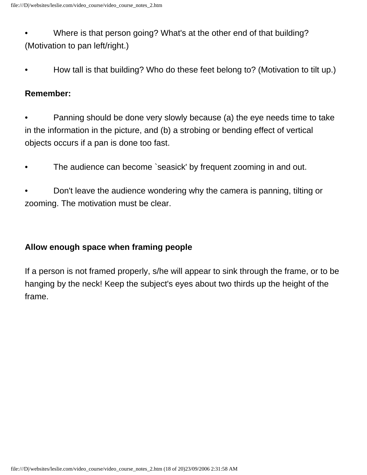• Where is that person going? What's at the other end of that building? (Motivation to pan left/right.)

• How tall is that building? Who do these feet belong to? (Motivation to tilt up.)

#### **Remember:**

- Panning should be done very slowly because (a) the eye needs time to take in the information in the picture, and (b) a strobing or bending effect of vertical objects occurs if a pan is done too fast.
- The audience can become `seasick' by frequent zooming in and out.
- Don't leave the audience wondering why the camera is panning, tilting or zooming. The motivation must be clear.

#### **Allow enough space when framing people**

If a person is not framed properly, s/he will appear to sink through the frame, or to be hanging by the neck! Keep the subject's eyes about two thirds up the height of the frame.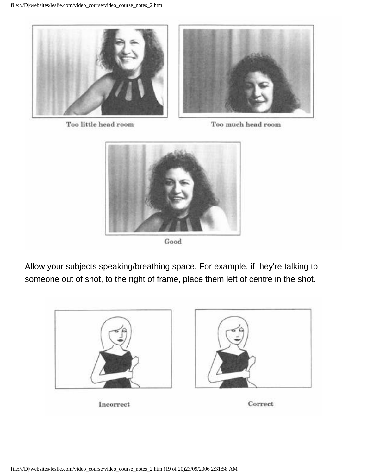

Too little head room

Too much head room



Good

Allow your subjects speaking/breathing space. For example, if they're talking to someone out of shot, to the right of frame, place them left of centre in the shot.



Incorrect

Correct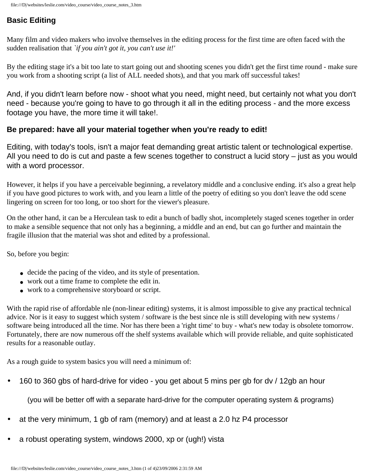#### <span id="page-36-0"></span>**Basic Editing**

Many film and video makers who involve themselves in the editing process for the first time are often faced with the sudden realisation that *`if you ain't got it, you can't use it!'* 

By the editing stage it's a bit too late to start going out and shooting scenes you didn't get the first time round - make sure you work from a shooting script (a list of ALL needed shots), and that you mark off successful takes!

And, if you didn't learn before now - shoot what you need, might need, but certainly not what you don't need - because you're going to have to go through it all in the editing process - and the more excess footage you have, the more time it will take!.

#### **Be prepared: have all your material together when you're ready to edit!**

Editing, with today's tools, isn't a major feat demanding great artistic talent or technological expertise. All you need to do is cut and paste a few scenes together to construct a lucid story – just as you would with a word processor.

However, it helps if you have a perceivable beginning, a revelatory middle and a conclusive ending. it's also a great help if you have good pictures to work with, and you learn a little of the poetry of editing so you don't leave the odd scene lingering on screen for too long, or too short for the viewer's pleasure.

On the other hand, it can be a Herculean task to edit a bunch of badly shot, incompletely staged scenes together in order to make a sensible sequence that not only has a beginning, a middle and an end, but can go further and maintain the fragile illusion that the material was shot and edited by a professional.

So, before you begin:

- decide the pacing of the video, and its style of presentation.
- work out a time frame to complete the edit in.
- work to a comprehensive storyboard or script.

With the rapid rise of affordable nle (non-linear editing) systems, it is almost impossible to give any practical technical advice. Nor is it easy to suggest which system / software is the best since nle is still developing with new systems / software being introduced all the time. Nor has there been a 'right time' to buy - what's new today is obsolete tomorrow. Fortunately, there are now numerous off the shelf systems available which will provide reliable, and quite sophisticated results for a reasonable outlay.

As a rough guide to system basics you will need a minimum of:

• 160 to 360 gbs of hard-drive for video - you get about 5 mins per gb for dv / 12gb an hour

(you will be better off with a separate hard-drive for the computer operating system & programs)

- at the very minimum, 1 gb of ram (memory) and at least a 2.0 hz P4 processor
- a robust operating system, windows 2000, xp or (ugh!) vista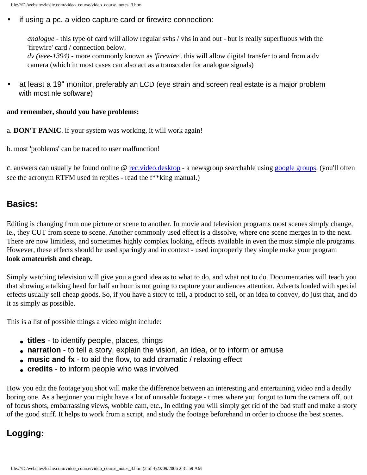#### if using a pc. a video capture card or firewire connection:

*analogue* - this type of card will allow regular svhs / vhs in and out - but is really superfluous with the 'firewire' card / connection below.

*dv (ieee-1394)* - more commonly known as *'firewire'*. this will allow digital transfer to and from a dv camera (which in most cases can also act as a transcoder for analogue signals)

• at least a 19" monitor, preferably an LCD (eye strain and screen real estate is a major problem with most nle software)

#### **and remember, should you have problems:**

a. **DON'T PANIC**. if your system was working, it will work again!

b. most 'problems' can be traced to user malfunction!

c. answers can usually be found online @ [rec.video.desktop](news:rec.video.desktop) - a newsgroup searchable using [google groups](javascript:if(confirm(). (you'll often see the acronym RTFM used in replies - read the f\*\*king manual.)

#### **Basics:**

Editing is changing from one picture or scene to another. In movie and television programs most scenes simply change, ie., they CUT from scene to scene. Another commonly used effect is a dissolve, where one scene merges in to the next. There are now limitless, and sometimes highly complex looking, effects available in even the most simple nle programs. **look amateurish and cheap.** However, these effects should be used sparingly and in context - used improperly they simple make your program

Simply watching television will give you a good idea as to what to do, and what not to do. Documentaries will teach you that showing a talking head for half an hour is not going to capture your audiences attention. Adverts loaded with special effects usually sell cheap goods. So, if you have a story to tell, a product to sell, or an idea to convey, do just that, and do it as simply as possible.

This is a list of possible things a video might include:

- **titles** to identify people, places, things
- narration to tell a story, explain the vision, an idea, or to inform or amuse
- music and fx to aid the flow, to add dramatic / relaxing effect
- **credits** to inform people who was involved

How you edit the footage you shot will make the difference between an interesting and entertaining video and a deadly boring one. As a beginner you might have a lot of unusable footage - times where you forgot to turn the camera off, out of focus shots, embarrassing views, wobble cam, etc., In editing you will simply get rid of the bad stuff and make a story of the good stuff. It helps to work from a script, and study the footage beforehand in order to choose the best scenes.

#### **Logging:**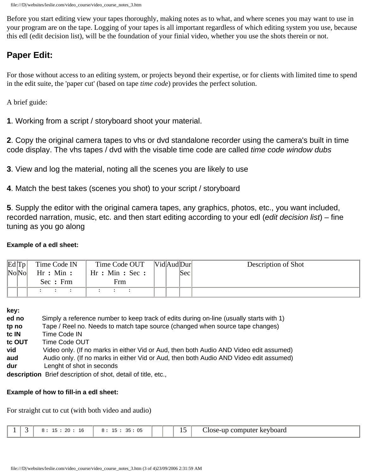Before you start editing view your tapes thoroughly, making notes as to what, and where scenes you may want to use in your program are on the tape. Logging of your tapes is all important regardless of which editing system you use, because this edl (edit decision list), will be the foundation of your finial video, whether you use the shots therein or not.

#### **Paper Edit:**

For those without access to an editing system, or projects beyond their expertise, or for clients with limited time to spend in the edit suite, the 'paper cut' (based on tape *time code*) provides the perfect solution.

A brief guide:

**1**. Working from a script / storyboard shoot your material.

**2**. Copy the original camera tapes to vhs or dvd standalone recorder using the camera's built in time code display. The vhs tapes / dvd with the visable time code are called *time code window dubs*

**3**. View and log the material, noting all the scenes you are likely to use

**4**. Match the best takes (scenes you shot) to your script / storyboard

**5**. Supply the editor with the original camera tapes, any graphics, photos, etc., you want included, recorded narration, music, etc. and then start editing according to your edl (*edit decision list*) – fine tuning as you go along

#### **Example of a edl sheet:**

| $Ed$ $\text{Tp}$ | Time Code IN | Time Code OUT    | [Vid Aud Dur] | Description of Shot |
|------------------|--------------|------------------|---------------|---------------------|
| No No            | Hr : Min:    | Hr : Min : Sec : | 'Sec          |                     |
|                  | Sec : Frm    | Frm              |               |                     |
|                  |              |                  |               |                     |

**key:**

| ed no  | Simply a reference number to keep track of edits during on-line (usually starts with 1) |
|--------|-----------------------------------------------------------------------------------------|
| tp no  | Tape / Reel no. Needs to match tape source (changed when source tape changes)           |
| tc IN  | Time Code IN                                                                            |
| tc OUT | Time Code OUT                                                                           |
| vid    | Video only. (If no marks in either Vid or Aud, then both Audio AND Video edit assumed)  |
| aud    | Audio only. (If no marks in either Vid or Aud, then both Audio AND Video edit assumed)  |
| dur    | Lenght of shot in seconds                                                               |
|        | departicular priof department of abot detail of title ato                               |

**description** Brief description of shot, detail of title, etc.,

#### **Example of how to fill-in a edl sheet:**

For straight cut to cut (with both video and audio)

|                          | ററ<br>16<br>. . | <b>OF</b><br>っこ<br>Ω.<br>ັບປ<br>ີ |  | - -<br>יי | $\bigcup$ ose-up $\in$<br>r keyboard<br>computer |
|--------------------------|-----------------|-----------------------------------|--|-----------|--------------------------------------------------|
| $\overline{\phantom{a}}$ |                 |                                   |  | $-$       |                                                  |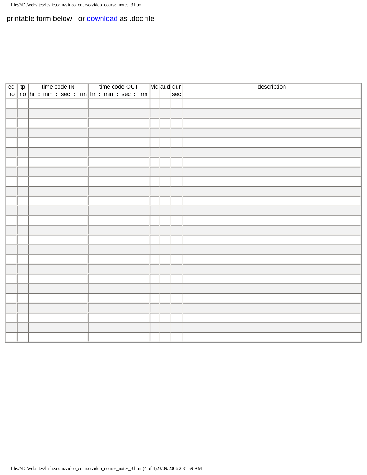#### printable form below - or **download** as .doc file

| $ed$ tp |  |  | time code IN |                                                     | $\mathcal{L}$ |  | time code OUT |  | $\boxed{\mathsf{vid}}$ aud $\boxed{\mathsf{dur}}$ |  |          | description |
|---------|--|--|--------------|-----------------------------------------------------|---------------|--|---------------|--|---------------------------------------------------|--|----------|-------------|
|         |  |  |              | $ no $ no $ hn: min: sec: fm $ hr : min : sec : frm |               |  |               |  |                                                   |  | $ \sec $ |             |
|         |  |  |              |                                                     |               |  |               |  |                                                   |  |          |             |
|         |  |  |              |                                                     |               |  |               |  |                                                   |  |          |             |
|         |  |  |              |                                                     |               |  |               |  |                                                   |  |          |             |
|         |  |  |              |                                                     |               |  |               |  |                                                   |  |          |             |
|         |  |  |              |                                                     |               |  |               |  |                                                   |  |          |             |
|         |  |  |              |                                                     |               |  |               |  |                                                   |  |          |             |
|         |  |  |              |                                                     |               |  |               |  |                                                   |  |          |             |
|         |  |  |              |                                                     |               |  |               |  |                                                   |  |          |             |
|         |  |  |              |                                                     |               |  |               |  |                                                   |  |          |             |
|         |  |  |              |                                                     |               |  |               |  |                                                   |  |          |             |
|         |  |  |              |                                                     |               |  |               |  |                                                   |  |          |             |
|         |  |  |              |                                                     |               |  |               |  |                                                   |  |          |             |
|         |  |  |              |                                                     |               |  |               |  |                                                   |  |          |             |
|         |  |  |              |                                                     |               |  |               |  |                                                   |  |          |             |
|         |  |  |              |                                                     |               |  |               |  |                                                   |  |          |             |
|         |  |  |              |                                                     |               |  |               |  |                                                   |  |          |             |
|         |  |  |              |                                                     |               |  |               |  |                                                   |  |          |             |
|         |  |  |              |                                                     |               |  |               |  |                                                   |  |          |             |
|         |  |  |              |                                                     |               |  |               |  |                                                   |  |          |             |
|         |  |  |              |                                                     |               |  |               |  |                                                   |  |          |             |
|         |  |  |              |                                                     |               |  |               |  |                                                   |  |          |             |
|         |  |  |              |                                                     |               |  |               |  |                                                   |  |          |             |
|         |  |  |              |                                                     |               |  |               |  |                                                   |  |          |             |
|         |  |  |              |                                                     |               |  |               |  |                                                   |  |          |             |
|         |  |  |              |                                                     |               |  |               |  |                                                   |  |          |             |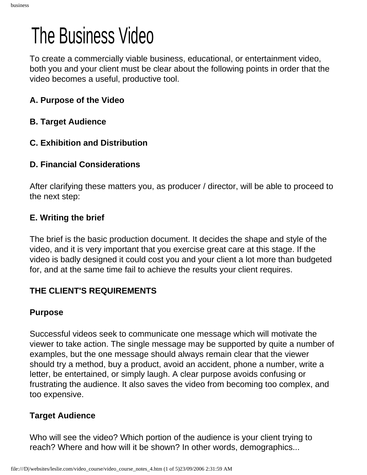## <span id="page-40-0"></span>The Business Video

To create a commercially viable business, educational, or entertainment video, both you and your client must be clear about the following points in order that the video becomes a useful, productive tool.

#### **A. Purpose of the Video**

- **B. Target Audience**
- **C. Exhibition and Distribution**

#### **D. Financial Considerations**

After clarifying these matters you, as producer / director, will be able to proceed to the next step:

#### **E. Writing the brief**

The brief is the basic production document. It decides the shape and style of the video, and it is very important that you exercise great care at this stage. If the video is badly designed it could cost you and your client a lot more than budgeted for, and at the same time fail to achieve the results your client requires.

#### **THE CLIENT'S REQUIREMENTS**

#### **Purpose**

Successful videos seek to communicate one message which will motivate the viewer to take action. The single message may be supported by quite a number of examples, but the one message should always remain clear that the viewer should try a method, buy a product, avoid an accident, phone a number, write a letter, be entertained, or simply laugh. A clear purpose avoids confusing or frustrating the audience. It also saves the video from becoming too complex, and too expensive.

#### **Target Audience**

Who will see the video? Which portion of the audience is your client trying to reach? Where and how will it be shown? In other words, demographics...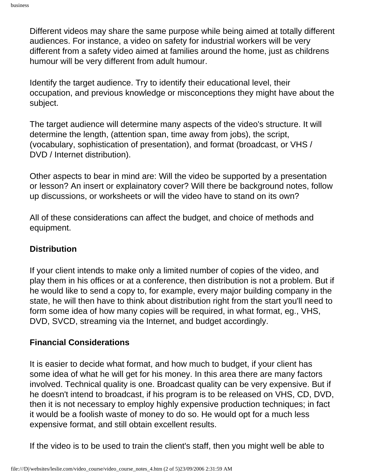Different videos may share the same purpose while being aimed at totally different audiences. For instance, a video on safety for industrial workers will be very different from a safety video aimed at families around the home, just as childrens humour will be very different from adult humour.

Identify the target audience. Try to identify their educational level, their occupation, and previous knowledge or misconceptions they might have about the subject.

The target audience will determine many aspects of the video's structure. It will determine the length, (attention span, time away from jobs), the script, (vocabulary, sophistication of presentation), and format (broadcast, or VHS / DVD / Internet distribution).

Other aspects to bear in mind are: Will the video be supported by a presentation or lesson? An insert or explainatory cover? Will there be background notes, follow up discussions, or worksheets or will the video have to stand on its own?

All of these considerations can affect the budget, and choice of methods and equipment.

#### **Distribution**

If your client intends to make only a limited number of copies of the video, and play them in his offices or at a conference, then distribution is not a problem. But if he would like to send a copy to, for example, every major building company in the state, he will then have to think about distribution right from the start you'll need to form some idea of how many copies will be required, in what format, eg., VHS, DVD, SVCD, streaming via the Internet, and budget accordingly.

#### **Financial Considerations**

It is easier to decide what format, and how much to budget, if your client has some idea of what he will get for his money. In this area there are many factors involved. Technical quality is one. Broadcast quality can be very expensive. But if he doesn't intend to broadcast, if his program is to be released on VHS, CD, DVD, then it is not necessary to employ highly expensive production techniques; in fact it would be a foolish waste of money to do so. He would opt for a much less expensive format, and still obtain excellent results.

If the video is to be used to train the client's staff, then you might well be able to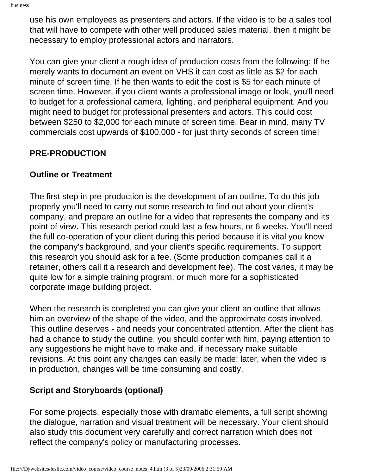use his own employees as presenters and actors. If the video is to be a sales tool that will have to compete with other well produced sales material, then it might be necessary to employ professional actors and narrators.

You can give your client a rough idea of production costs from the following: If he merely wants to document an event on VHS it can cost as little as \$2 for each minute of screen time. If he then wants to edit the cost is \$5 for each minute of screen time. However, if you client wants a professional image or look, you'll need to budget for a professional camera, lighting, and peripheral equipment. And you might need to budget for professional presenters and actors. This could cost between \$250 to \$2,000 for each minute of screen time. Bear in mind, many TV commercials cost upwards of \$100,000 - for just thirty seconds of screen time!

#### **PRE-PRODUCTION**

#### **Outline or Treatment**

The first step in pre-production is the development of an outline. To do this job properly you'll need to carry out some research to find out about your client's company, and prepare an outline for a video that represents the company and its point of view. This research period could last a few hours, or 6 weeks. You'll need the full co-operation of your client during this period because it is vital you know the company's background, and your client's specific requirements. To support this research you should ask for a fee. (Some production companies call it a retainer, others call it a research and development fee). The cost varies, it may be quite low for a simple training program, or much more for a sophisticated corporate image building project.

When the research is completed you can give your client an outline that allows him an overview of the shape of the video, and the approximate costs involved. This outline deserves - and needs your concentrated attention. After the client has had a chance to study the outline, you should confer with him, paying attention to any suggestions he might have to make and, if necessary make suitable revisions. At this point any changes can easily be made; later, when the video is in production, changes will be time consuming and costly.

#### **Script and Storyboards (optional)**

For some projects, especially those with dramatic elements, a full script showing the dialogue, narration and visual treatment will be necessary. Your client should also study this document very carefully and correct narration which does not reflect the company's policy or manufacturing processes.